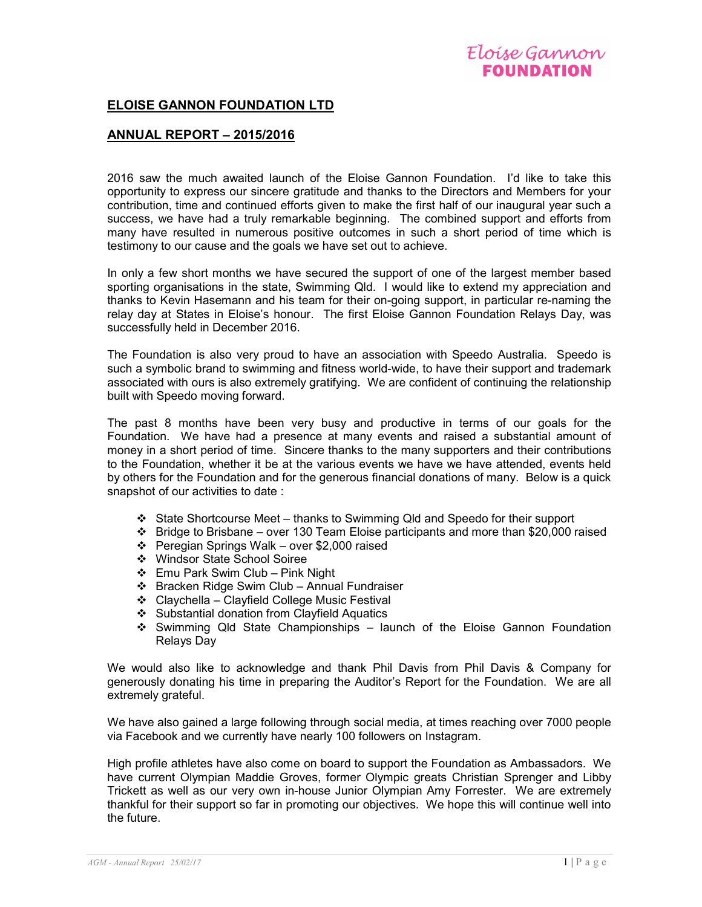

## ELOISE GANNON FOUNDATION LTD

## ANNUAL REPORT – 2015/2016

2016 saw the much awaited launch of the Eloise Gannon Foundation. I'd like to take this opportunity to express our sincere gratitude and thanks to the Directors and Members for your contribution, time and continued efforts given to make the first half of our inaugural year such a success, we have had a truly remarkable beginning. The combined support and efforts from many have resulted in numerous positive outcomes in such a short period of time which is testimony to our cause and the goals we have set out to achieve.

In only a few short months we have secured the support of one of the largest member based sporting organisations in the state, Swimming Qld. I would like to extend my appreciation and thanks to Kevin Hasemann and his team for their on-going support, in particular re-naming the relay day at States in Eloise's honour. The first Eloise Gannon Foundation Relays Day, was successfully held in December 2016.

The Foundation is also very proud to have an association with Speedo Australia. Speedo is such a symbolic brand to swimming and fitness world-wide, to have their support and trademark associated with ours is also extremely gratifying. We are confident of continuing the relationship built with Speedo moving forward.

The past 8 months have been very busy and productive in terms of our goals for the Foundation. We have had a presence at many events and raised a substantial amount of money in a short period of time. Sincere thanks to the many supporters and their contributions to the Foundation, whether it be at the various events we have we have attended, events held by others for the Foundation and for the generous financial donations of many. Below is a quick snapshot of our activities to date :

- State Shortcourse Meet thanks to Swimming Qld and Speedo for their support
- $\div$  Bridge to Brisbane over 130 Team Eloise participants and more than \$20,000 raised
- $\div$  Peregian Springs Walk over \$2,000 raised
- Windsor State School Soiree
- Emu Park Swim Club Pink Night
- Bracken Ridge Swim Club Annual Fundraiser
- Claychella Clayfield College Music Festival
- ❖ Substantial donation from Clayfield Aquatics
- Swimming Qld State Championships launch of the Eloise Gannon Foundation Relays Day

We would also like to acknowledge and thank Phil Davis from Phil Davis & Company for generously donating his time in preparing the Auditor's Report for the Foundation. We are all extremely grateful.

We have also gained a large following through social media, at times reaching over 7000 people via Facebook and we currently have nearly 100 followers on Instagram.

High profile athletes have also come on board to support the Foundation as Ambassadors. We have current Olympian Maddie Groves, former Olympic greats Christian Sprenger and Libby Trickett as well as our very own in-house Junior Olympian Amy Forrester. We are extremely thankful for their support so far in promoting our objectives. We hope this will continue well into the future.